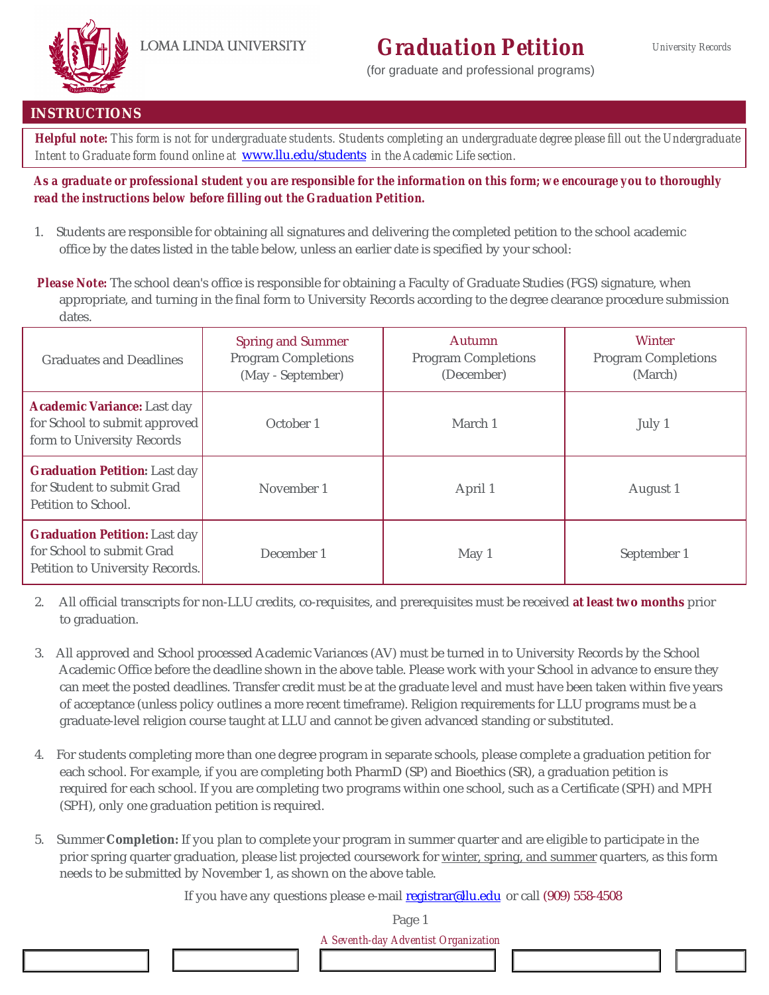## **Graduation Petition**

(for graduate and professional programs)



#### **INSTRUCTIONS**

Helpful note: This form is not for undergraduate students. Students completing an undergraduate degree please fill out the Undergraduate Intent to Graduate form found online at www.Ilu.edu/students in the Academic Life section.

As a graduate or professional student you are responsible for the information on this form; we encourage you to thoroughly read the instructions below before filling out the Graduation Petition.

1. Students are responsible for obtaining all signatures and delivering the completed petition to the school academic office by the dates listed in the table below, unless an earlier date is specified by your school:

Please Note: The school dean's office is responsible for obtaining a Faculty of Graduate Studies (FGS) signature, when appropriate, and turning in the final form to University Records according to the degree clearance procedure submission dates.

| <b>Graduates and Deadlines</b>                                                                       | Spring and Summer<br>Program Completions<br>(May - September) | Autumn<br>Program Completions<br>(December) | Winter<br>Program Completions<br>(March) |  |
|------------------------------------------------------------------------------------------------------|---------------------------------------------------------------|---------------------------------------------|------------------------------------------|--|
| Academic Variance: Last day<br>for School to submit approved<br>form to University Records           | October 1                                                     | March 1                                     | July 1                                   |  |
| <b>Graduation Petition: Last day</b><br>for Student to submit Grad<br>Petition to School.            | November 1                                                    | April 1                                     | August 1                                 |  |
| <b>Graduation Petition: Last day</b><br>for School to submit Grad<br>Petition to University Records. | December 1                                                    | May 1                                       | September 1                              |  |

- 2. All official transcripts for non-LLU credits, co-requisites, and prerequisites must be received at least two months prior to graduation.
- 3. All approved and School processed Academic Variances (AV) must be turned in to University Records by the School Academic Office before the deadline shown in the above table. Please work with your School in advance to ensure they can meet the posted deadlines. Transfer credit must be at the graduate level and must have been taken within five years of acceptance (unless policy outlines a more recent timeframe). Religion requirements for LLU programs must be a graduate-level religion course taught at LLU and cannot be given advanced standing or substituted.
- 4. For students completing more than one degree program in separate schools, please complete a graduation petition for each school. For example, if you are completing both PharmD (SP) and Bioethics (SR), a graduation petition is required for each school. If you are completing two programs within one school, such as a Certificate (SPH) and MPH (SPH), only one graduation petition is required.
- 5. Summer Completion: If you plan to complete your program in summer quarter and are eligible to participate in the prior spring quarter graduation, please list projected coursework for winter, spring, and summer quarters, as this form needs to be submitted by November 1, as shown on the above table.

If you have any questions please e-mail registrar@llu.edu or call (909) 558-4508

Page 1 A Seventh-day Adventist Organization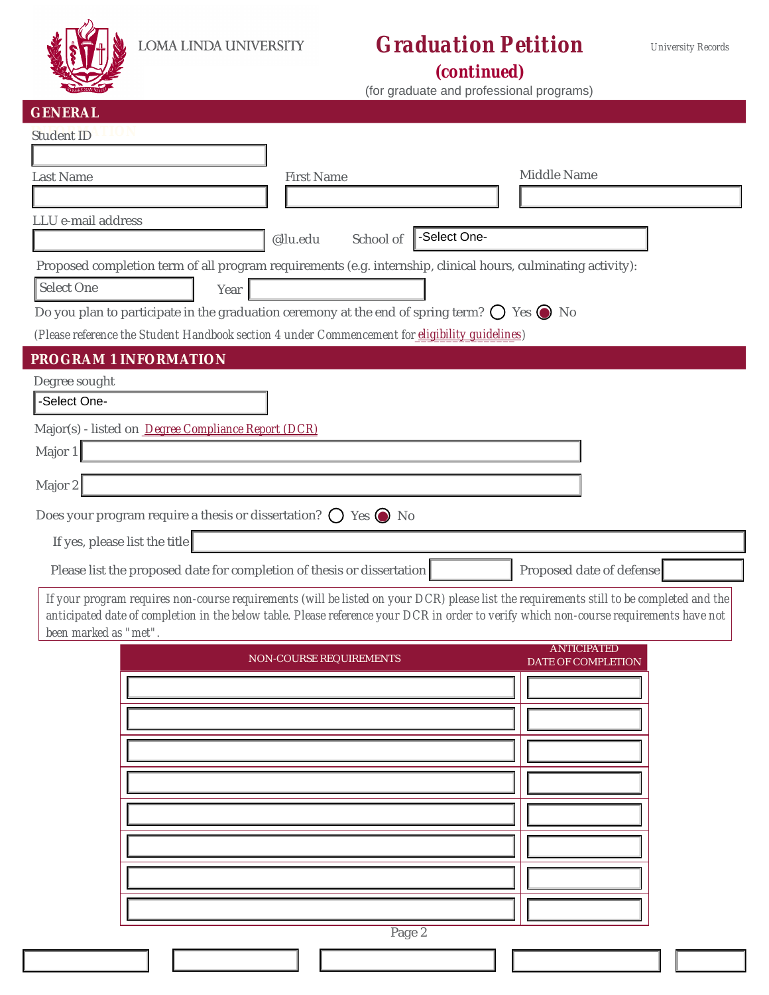

[

## **Graduation Petition**

**University Records** 

(continued)

(for graduate and professional programs)

| GENERAL                                             |                                                                                                               |                                                                                                                                                                                                                                                                                    |
|-----------------------------------------------------|---------------------------------------------------------------------------------------------------------------|------------------------------------------------------------------------------------------------------------------------------------------------------------------------------------------------------------------------------------------------------------------------------------|
| <b>Student ID</b>                                   |                                                                                                               |                                                                                                                                                                                                                                                                                    |
|                                                     |                                                                                                               |                                                                                                                                                                                                                                                                                    |
| Last Name                                           | <b>First Name</b>                                                                                             | Middle Name                                                                                                                                                                                                                                                                        |
|                                                     |                                                                                                               |                                                                                                                                                                                                                                                                                    |
| LLU e-mail address                                  | @llu.edu<br>School of                                                                                         | -Select One-                                                                                                                                                                                                                                                                       |
|                                                     | Proposed completion term of all program requirements (e.g. internship, clinical hours, culminating activity): |                                                                                                                                                                                                                                                                                    |
| Select One                                          | Year                                                                                                          |                                                                                                                                                                                                                                                                                    |
|                                                     | Do you plan to participate in the graduation ceremony at the end of spring term? $\bigcirc$ Yes $\bigcirc$ No |                                                                                                                                                                                                                                                                                    |
|                                                     | (Please reference the Student Handbook section 4 under Commencement for eligibility guidelines)               |                                                                                                                                                                                                                                                                                    |
| PROGRAM 1 INFORMATION                               |                                                                                                               |                                                                                                                                                                                                                                                                                    |
| Degree sought                                       |                                                                                                               |                                                                                                                                                                                                                                                                                    |
| -Select One-                                        |                                                                                                               |                                                                                                                                                                                                                                                                                    |
| Major(s) - listed on Degree Compliance Report (DCR) |                                                                                                               |                                                                                                                                                                                                                                                                                    |
| Major 1                                             |                                                                                                               |                                                                                                                                                                                                                                                                                    |
| Major 2                                             |                                                                                                               |                                                                                                                                                                                                                                                                                    |
|                                                     | Does your program require a thesis or dissertation? $\bigcirc$ Yes $\bigcirc$ No                              |                                                                                                                                                                                                                                                                                    |
|                                                     |                                                                                                               |                                                                                                                                                                                                                                                                                    |
| If yes, please list the title                       |                                                                                                               |                                                                                                                                                                                                                                                                                    |
|                                                     | Please list the proposed date for completion of thesis or dissertation                                        | Proposed date of defense                                                                                                                                                                                                                                                           |
| been marked as "met".                               |                                                                                                               | If your program requires non-course requirements (will be listed on your DCR) please list the requirements still to be completed and the<br>anticipated date of completion in the below table. Please reference your DCR in order to verify which non-course requirements have not |
|                                                     | <b>NON-COURSE REQUIREMENTS</b>                                                                                | <b>ANTICIPATED</b><br>DATE OF COMPLETION                                                                                                                                                                                                                                           |
|                                                     |                                                                                                               |                                                                                                                                                                                                                                                                                    |
|                                                     |                                                                                                               |                                                                                                                                                                                                                                                                                    |
|                                                     |                                                                                                               |                                                                                                                                                                                                                                                                                    |
|                                                     |                                                                                                               |                                                                                                                                                                                                                                                                                    |
|                                                     |                                                                                                               |                                                                                                                                                                                                                                                                                    |
|                                                     |                                                                                                               |                                                                                                                                                                                                                                                                                    |
|                                                     |                                                                                                               |                                                                                                                                                                                                                                                                                    |
|                                                     |                                                                                                               |                                                                                                                                                                                                                                                                                    |
|                                                     |                                                                                                               |                                                                                                                                                                                                                                                                                    |
|                                                     |                                                                                                               |                                                                                                                                                                                                                                                                                    |
|                                                     |                                                                                                               |                                                                                                                                                                                                                                                                                    |
|                                                     | Page 2                                                                                                        |                                                                                                                                                                                                                                                                                    |
|                                                     |                                                                                                               |                                                                                                                                                                                                                                                                                    |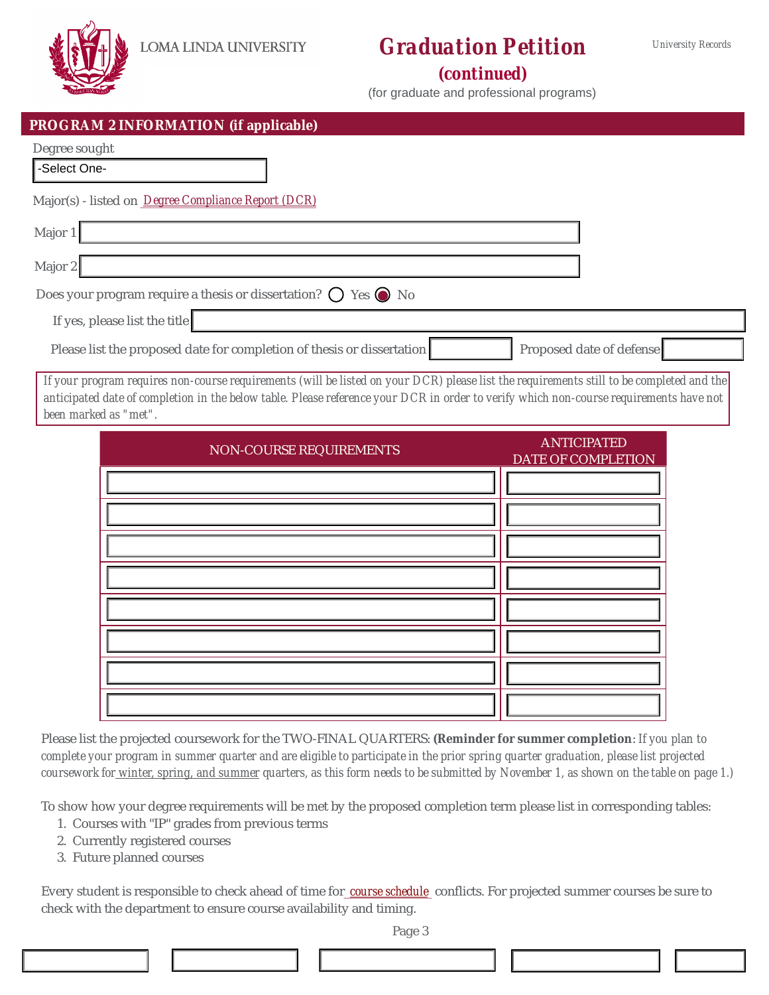

# **Graduation Petition**

### (continued)

(for graduate and professional programs)

| PROGRAM 2 INFORMATION (if applicable)                                                                                                                                                                                                                                                                       |                                          |
|-------------------------------------------------------------------------------------------------------------------------------------------------------------------------------------------------------------------------------------------------------------------------------------------------------------|------------------------------------------|
| Degree sought<br>-Select One-                                                                                                                                                                                                                                                                               |                                          |
| Major(s) - listed on Degree Compliance Report (DCR)                                                                                                                                                                                                                                                         |                                          |
| Major 1                                                                                                                                                                                                                                                                                                     |                                          |
| Major 2                                                                                                                                                                                                                                                                                                     |                                          |
| Does your program require a thesis or dissertation? $\bigcirc$ Yes $\bigcirc$ No                                                                                                                                                                                                                            |                                          |
| If yes, please list the title                                                                                                                                                                                                                                                                               |                                          |
| Please list the proposed date for completion of thesis or dissertation                                                                                                                                                                                                                                      | Proposed date of defense                 |
| If your program requires non-course requirements (will be listed on your DCR) please list the requirements still to be completed and the<br>anticipated date of completion in the below table. Please reference your DCR in order to verify which non-course requirements have not<br>been marked as "met". |                                          |
| <b>NON-COURSE REQUIREMENTS</b>                                                                                                                                                                                                                                                                              | <b>ANTICIPATED</b><br>DATE OF COMPLETION |
|                                                                                                                                                                                                                                                                                                             |                                          |
|                                                                                                                                                                                                                                                                                                             |                                          |

| NON-COURSE REQUIREMENTS | <b>ANTIGPATED</b><br><b>DATE OF COMPLETION</b> |
|-------------------------|------------------------------------------------|
|                         |                                                |
|                         |                                                |
|                         |                                                |
|                         |                                                |

Please list the projected coursework for the TWO-FINAL QUARTERS: (Reminder for summer completion: If you plan to complete your program in summer quarter and are eligible to participate in the prior spring quarter graduation, please list projected coursework for winter, spring, and summer quarters, as this form needs to be submitted by November 1, as shown on the table on page 1.)

To show how your degree requirements will be met by the proposed completion term please list in corresponding tables:

- 1. Courses with "IP" grades from previous terms
- 2. Currently registered courses
- 3. Future planned courses

Every student is responsible to check ahead of time for\_course schedule\_conflicts. For projected summer courses be sure to check with the department to ensure course availability and timing.

Page 3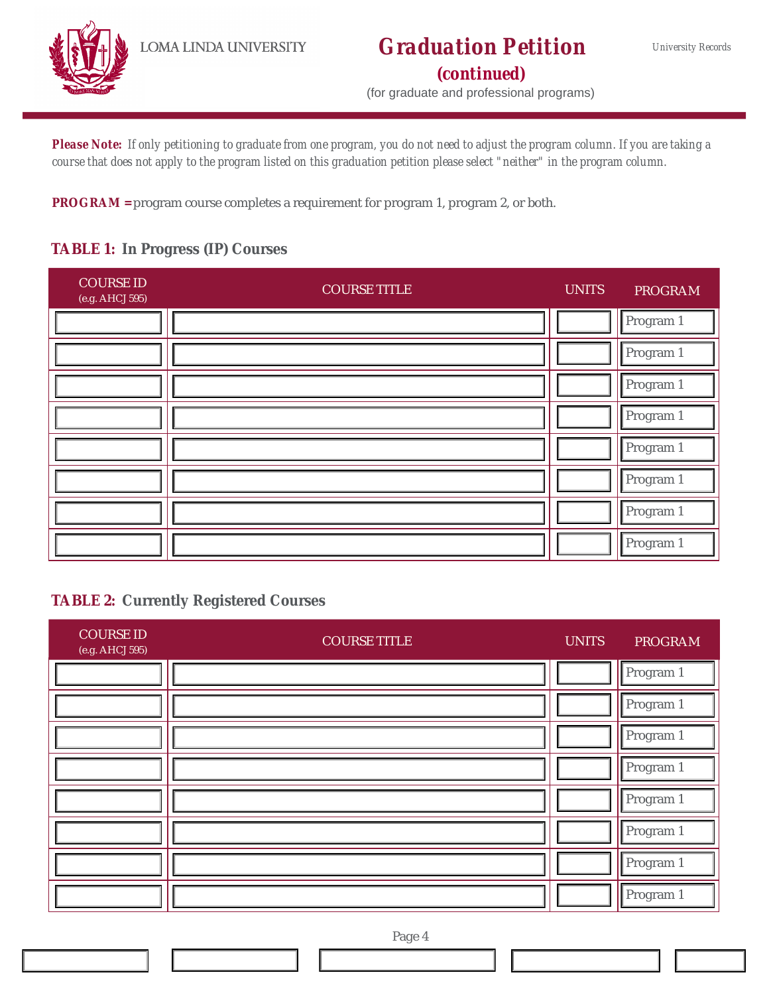

### **Graduation Petition** (continued)

(for graduate and professional programs)

Please Note: If only petitioning to graduate from one program, you do not need to adjust the program column. If you are taking a course that does not apply to the program listed on this graduation petition please select "neither" in the program column.

PROGRAM = program course completes a requirement for program 1, program 2, or both.

### TABLE 1: In Progress (IP) Courses

| <b>COURSE ID</b><br>(e.g. AHCJ 595) | <b>COURSE TITLE</b> | <b>UNITS</b> | <b>PROGRAM</b> |
|-------------------------------------|---------------------|--------------|----------------|
|                                     |                     |              | Program 1      |
|                                     |                     |              | Program 1      |
|                                     |                     |              | Program 1      |
|                                     |                     |              | Program 1      |
|                                     |                     |              | Program 1      |
|                                     |                     |              | Program 1      |
|                                     |                     |              | Program 1      |
|                                     |                     |              | Program 1      |

### **TABLE 2: Currently Registered Courses**

| <b>COURSE ID</b><br>(e.g. AHCJ 595) | <b>COURSE TITLE</b> | <b>UNITS</b> | <b>PROGRAM</b> |
|-------------------------------------|---------------------|--------------|----------------|
|                                     |                     |              | Program 1      |
|                                     |                     |              | Program 1      |
|                                     |                     |              | Program 1      |
|                                     |                     |              | Program 1      |
|                                     |                     |              | Program 1      |
|                                     |                     |              | Program 1      |
|                                     |                     |              | Program 1      |
|                                     |                     |              | Program 1      |

Page 4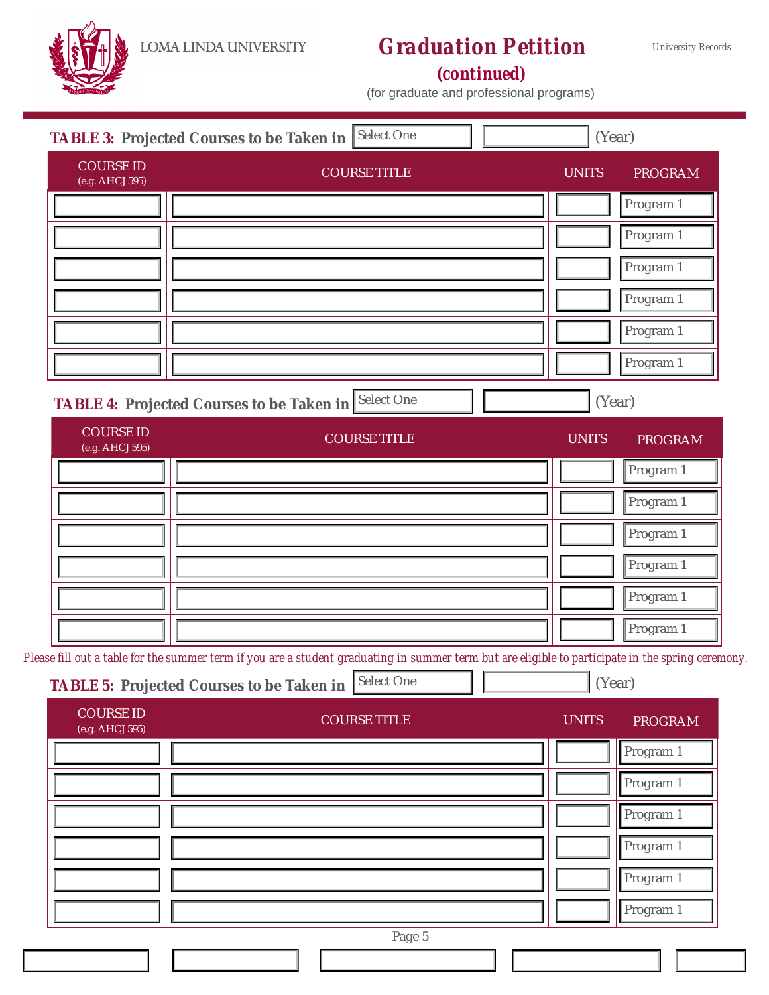LOMA LINDA UNIVERSITY

## **Graduation Petition** (continued)

University Records

#### (for graduate and professional programs)

|                                     | TABLE 3: Projected Courses to be Taken in Select One | (Year)       |                |
|-------------------------------------|------------------------------------------------------|--------------|----------------|
| <b>COURSE ID</b><br>(e.g. AHCJ 595) | <b>COURSE TITLE</b>                                  | <b>UNITS</b> | <b>PROGRAM</b> |
|                                     |                                                      |              | Program 1      |
|                                     |                                                      |              | Program 1      |
|                                     |                                                      |              | Program 1      |
|                                     |                                                      |              | Program 1      |
|                                     |                                                      |              | Program 1      |
|                                     |                                                      |              | Program 1      |
|                                     |                                                      |              |                |
|                                     | TABLE 4: Projected Courses to be Taken in Select One | (Year)       |                |
| <b>COURSE ID</b><br>(e.g. AHCJ 595) | <b>COURSE TITLE</b>                                  | <b>UNITS</b> | <b>PROGRAM</b> |
|                                     |                                                      |              | Program 1      |
|                                     |                                                      |              | Program 1      |
|                                     |                                                      |              | Program 1      |
|                                     |                                                      |              | Program 1      |
|                                     |                                                      |              | Program 1      |

Please fill out a table for the summer term if you are a student graduating in summer term but are eligible to participate in the spring ceremony.

TABLE 5: Projected Courses to be Taken in Select One

(Year)

| <b>COURSE ID</b><br>(e.g. AHCJ 595) | <b>COURSE TITLE</b> | <b>UNITS</b> | <b>PROGRAM</b> |
|-------------------------------------|---------------------|--------------|----------------|
|                                     |                     |              | Program 1      |
|                                     |                     |              | Program 1      |
|                                     |                     |              | Program 1      |
|                                     |                     |              | Program 1      |
|                                     |                     |              | Program 1      |
|                                     |                     |              | Program 1      |
|                                     | Page 5              |              |                |
|                                     |                     |              |                |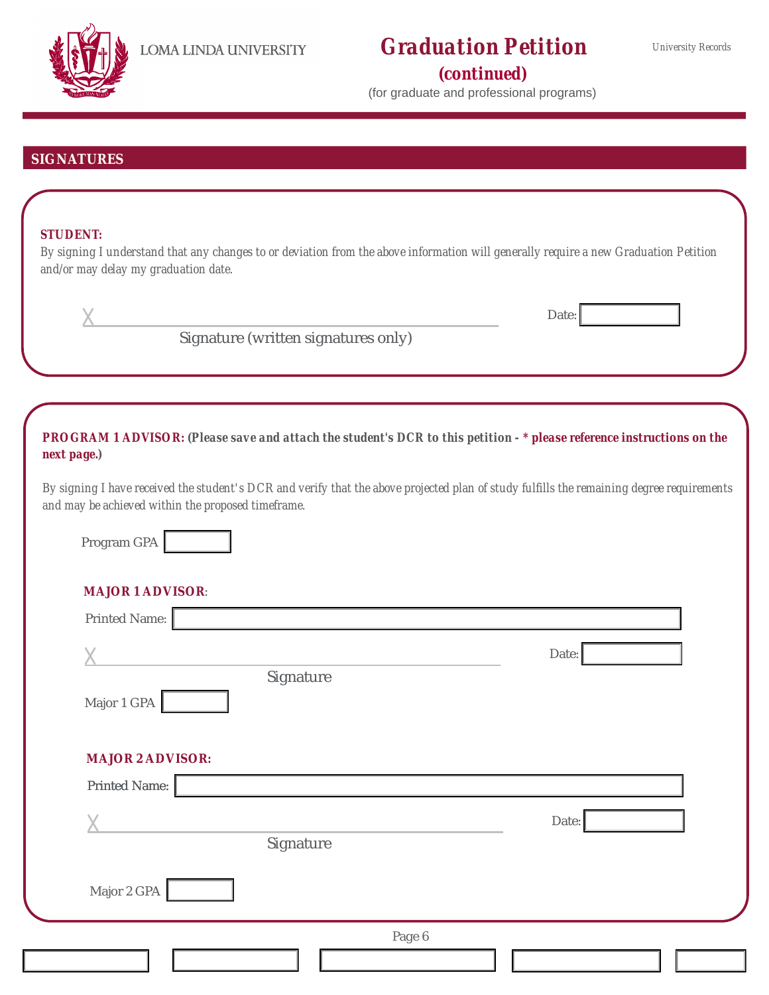

## **Graduation Petition** (continued)

(for graduate and professional programs)

### **SIGNATURES**

#### **STUDENT:**

By signing I understand that any changes to or deviation from the above information will generally require a new Graduation Petition and/or may delay my graduation date.

|                                                    |                                     | Date:                                                                                                                                     |
|----------------------------------------------------|-------------------------------------|-------------------------------------------------------------------------------------------------------------------------------------------|
|                                                    | Signature (written signatures only) |                                                                                                                                           |
|                                                    |                                     |                                                                                                                                           |
| next page.)                                        |                                     | PROGRAM 1 ADVISOR: (Please save and attach the student's DCR to this petition - * please reference instructions on the                    |
| and may be achieved within the proposed timeframe. |                                     | By signing I have received the student's DCR and verify that the above projected plan of study fulfills the remaining degree requirements |
| Program GPA                                        |                                     |                                                                                                                                           |
| <b>MAJOR 1 ADVISOR:</b>                            |                                     |                                                                                                                                           |
| Printed Name:                                      |                                     |                                                                                                                                           |
|                                                    |                                     | Date:                                                                                                                                     |
| Major 1 GPA                                        | Signature                           |                                                                                                                                           |
| <b>MAJOR 2 ADVISOR:</b>                            |                                     |                                                                                                                                           |
| Printed Name:                                      |                                     |                                                                                                                                           |
|                                                    | Signature                           | Date:                                                                                                                                     |
| Major 2 GPA                                        |                                     |                                                                                                                                           |
|                                                    | Page 6                              |                                                                                                                                           |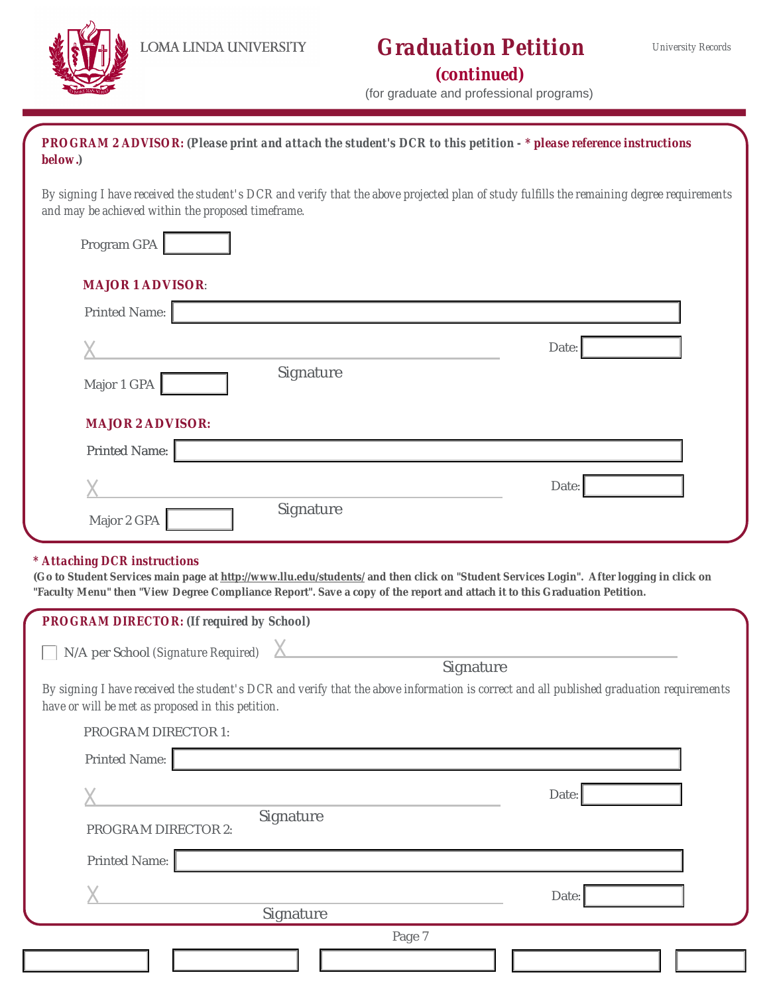

# **Graduation Petition**

(continued)

|  | (for graduate and professional programs) |  |  |  |  |  |  |  |  |
|--|------------------------------------------|--|--|--|--|--|--|--|--|
|--|------------------------------------------|--|--|--|--|--|--|--|--|

PROGRAM 2 ADVISOR: (Please print and attach the student's DCR to this petition - \* please reference instructions below.)

By signing I have received the student's DCR and verify that the above projected plan of study fulfills the remaining degree requirements and may be achieved within the proposed timeframe.

| Program GPA             |           |       |
|-------------------------|-----------|-------|
| <b>MAJOR 1 ADVISOR:</b> |           |       |
| Printed Name:           |           |       |
|                         |           | Date: |
| Major 1 GPA             | Signature |       |
| <b>MAJOR 2 ADVISOR:</b> |           |       |
| Printed Name:           |           |       |
|                         |           | Date: |
| Major 2 GPA             | Signature |       |

#### \* Attaching DCR instructions

(Go to Student Services main page at http://www.llu.edu/students/ and then click on "Student Services Login". After logging in click on "Faculty Menu" then "View Degree Compliance Report". Save a copy of the report and attach it to this Graduation Petition.

| PROGRAM DIRECTOR: (If required by School)         |                                                                                                                                         |       |
|---------------------------------------------------|-----------------------------------------------------------------------------------------------------------------------------------------|-------|
| N/A per School (Signature Required)               | Signature                                                                                                                               |       |
| have or will be met as proposed in this petition. | By signing I have received the student's DCR and verify that the above information is correct and all published graduation requirements |       |
| <b>PROGRAM DIRECTOR 1:</b>                        |                                                                                                                                         |       |
| Printed Name:                                     |                                                                                                                                         |       |
|                                                   |                                                                                                                                         | Date: |
| <b>PROGRAM DIRECTOR 2:</b>                        | Signature                                                                                                                               |       |
| Printed Name:                                     |                                                                                                                                         |       |
|                                                   | Signature                                                                                                                               | Date: |
|                                                   | Page 7                                                                                                                                  |       |
|                                                   |                                                                                                                                         |       |